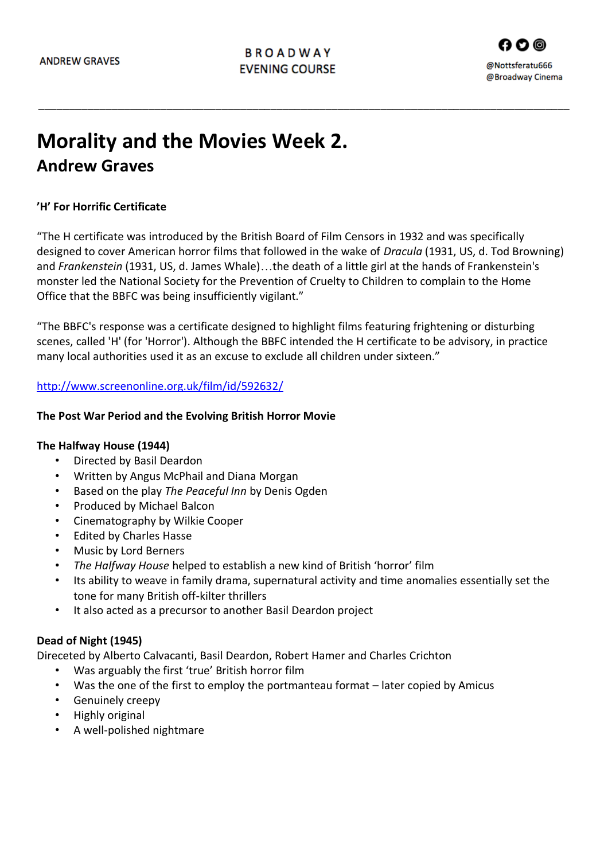\_\_\_\_\_\_\_\_\_\_\_\_\_\_\_\_\_\_\_\_\_\_\_\_\_\_\_\_\_\_\_\_\_\_\_\_\_\_\_\_\_\_\_\_\_\_\_\_\_\_\_\_\_\_\_\_\_\_\_\_\_\_\_\_\_\_\_\_\_\_\_\_\_\_\_\_\_\_\_\_\_\_\_\_\_\_\_

# **Morality and the Movies Week 2. Andrew Graves**

# **'H' For Horrific Certificate**

"The H certificate was introduced by the British Board of Film Censors in 1932 and was specifically designed to cover American horror films that followed in the wake of *Dracula* (1931, US, d. Tod Browning) and *Frankenstein* (1931, US, d. James Whale)…the death of a little girl at the hands of Frankenstein's monster led the National Society for the Prevention of Cruelty to Children to complain to the Home Office that the BBFC was being insufficiently vigilant."

"The BBFC's response was a certificate designed to highlight films featuring frightening or disturbing scenes, called 'H' (for 'Horror'). Although the BBFC intended the H certificate to be advisory, in practice many local authorities used it as an excuse to exclude all children under sixteen."

#### <http://www.screenonline.org.uk/film/id/592632/>

#### **The Post War Period and the Evolving British Horror Movie**

#### **The Halfway House (1944)**

- Directed by Basil Deardon
- Written by Angus McPhail and Diana Morgan
- Based on the play *The Peaceful Inn* by Denis Ogden
- Produced by Michael Balcon
- Cinematography by Wilkie Cooper
- Edited by Charles Hasse
- Music by Lord Berners
- *The Halfway House* helped to establish a new kind of British 'horror' film
- Its ability to weave in family drama, supernatural activity and time anomalies essentially set the tone for many British off-kilter thrillers
- It also acted as a precursor to another Basil Deardon project

## **Dead of Night (1945)**

Direceted by Alberto Calvacanti, Basil Deardon, Robert Hamer and Charles Crichton

- Was arguably the first 'true' British horror film
- Was the one of the first to employ the portmanteau format later copied by Amicus
- Genuinely creepy
- Highly original
- A well-polished nightmare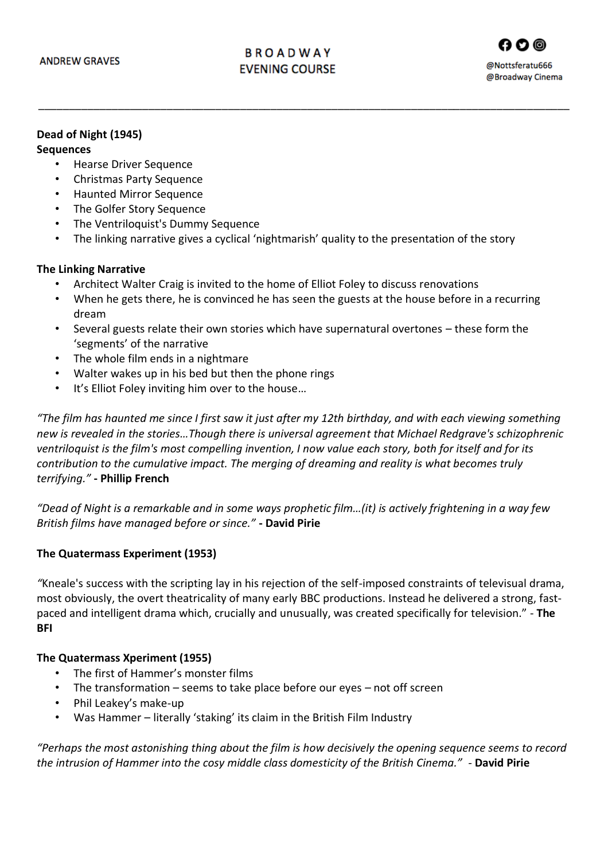\_\_\_\_\_\_\_\_\_\_\_\_\_\_\_\_\_\_\_\_\_\_\_\_\_\_\_\_\_\_\_\_\_\_\_\_\_\_\_\_\_\_\_\_\_\_\_\_\_\_\_\_\_\_\_\_\_\_\_\_\_\_\_\_\_\_\_\_\_\_\_\_\_\_\_\_\_\_\_\_\_\_\_\_\_\_\_

### **Dead of Night (1945)**

#### **Sequences**

- Hearse Driver Sequence
- Christmas Party Sequence
- Haunted Mirror Sequence
- The Golfer Story Sequence
- The Ventriloquist's Dummy Sequence
- The linking narrative gives a cyclical 'nightmarish' quality to the presentation of the story

#### **The Linking Narrative**

- Architect Walter Craig is invited to the home of Elliot Foley to discuss renovations
- When he gets there, he is convinced he has seen the guests at the house before in a recurring dream
- Several guests relate their own stories which have supernatural overtones these form the 'segments' of the narrative
- The whole film ends in a nightmare
- Walter wakes up in his bed but then the phone rings
- It's Elliot Foley inviting him over to the house…

*"The film has haunted me since I first saw it just after my 12th birthday, and with each viewing something new is revealed in the stories…Though there is universal agreement that Michael Redgrave's schizophrenic ventriloquist is the film's most compelling invention, I now value each story, both for itself and for its contribution to the cumulative impact. The merging of dreaming and reality is what becomes truly terrifying."* **- Phillip French**

*"Dead of Night is a remarkable and in some ways prophetic film…(it) is actively frightening in a way few British films have managed before or since."* **- David Pirie**

## **The Quatermass Experiment (1953)**

*"*Kneale's success with the scripting lay in his rejection of the self-imposed constraints of televisual drama, most obviously, the overt theatricality of many early BBC productions. Instead he delivered a strong, fastpaced and intelligent drama which, crucially and unusually, was created specifically for television." - **The BFI**

#### **The Quatermass Xperiment (1955)**

- The first of Hammer's monster films
- The transformation  $-$  seems to take place before our eyes  $-$  not off screen
- Phil Leakey's make-up
- Was Hammer literally 'staking' its claim in the British Film Industry

*"Perhaps the most astonishing thing about the film is how decisively the opening sequence seems to record the intrusion of Hammer into the cosy middle class domesticity of the British Cinema." -* **David Pirie**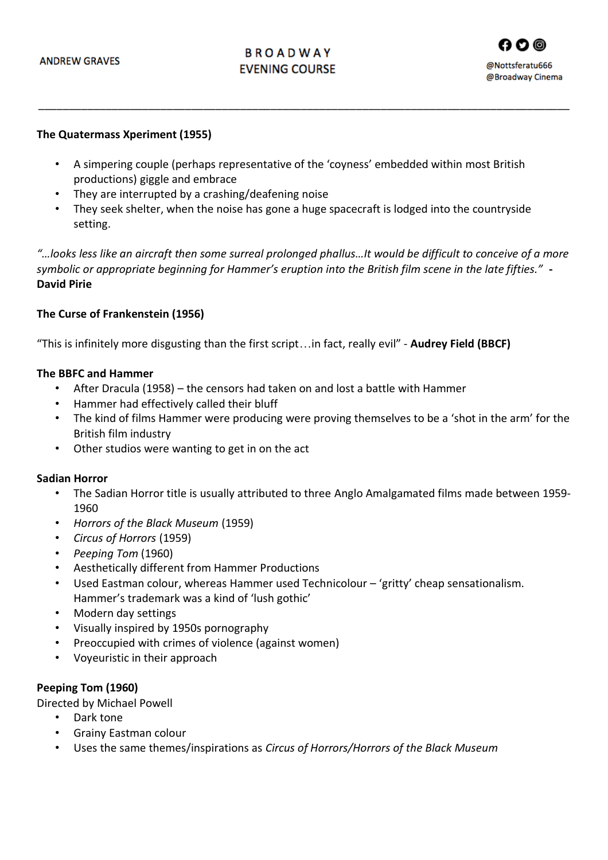# **BROADWAY EVENING COURSE**



#### **The Quatermass Xperiment (1955)**

• A simpering couple (perhaps representative of the 'coyness' embedded within most British productions) giggle and embrace

\_\_\_\_\_\_\_\_\_\_\_\_\_\_\_\_\_\_\_\_\_\_\_\_\_\_\_\_\_\_\_\_\_\_\_\_\_\_\_\_\_\_\_\_\_\_\_\_\_\_\_\_\_\_\_\_\_\_\_\_\_\_\_\_\_\_\_\_\_\_\_\_\_\_\_\_\_\_\_\_\_\_\_\_\_\_\_

- They are interrupted by a crashing/deafening noise
- They seek shelter, when the noise has gone a huge spacecraft is lodged into the countryside setting.

*"…looks less like an aircraft then some surreal prolonged phallus…It would be difficult to conceive of a more symbolic or appropriate beginning for Hammer's eruption into the British film scene in the late fifties."* **- David Pirie** 

#### **The Curse of Frankenstein (1956)**

"This is infinitely more disgusting than the first script…in fact, really evil" - **Audrey Field (BBCF)** 

#### **The BBFC and Hammer**

- After Dracula (1958) the censors had taken on and lost a battle with Hammer
- Hammer had effectively called their bluff
- The kind of films Hammer were producing were proving themselves to be a 'shot in the arm' for the British film industry
- Other studios were wanting to get in on the act

#### **Sadian Horror**

- The Sadian Horror title is usually attributed to three Anglo Amalgamated films made between 1959- 1960
- *Horrors of the Black Museum* (1959)
- *Circus of Horrors* (1959)
- *Peeping Tom* (1960)
- Aesthetically different from Hammer Productions
- Used Eastman colour, whereas Hammer used Technicolour 'gritty' cheap sensationalism. Hammer's trademark was a kind of 'lush gothic'
- Modern day settings
- Visually inspired by 1950s pornography
- Preoccupied with crimes of violence (against women)
- Voyeuristic in their approach

#### **Peeping Tom (1960)**

Directed by Michael Powell

- Dark tone
- Grainy Eastman colour
- Uses the same themes/inspirations as *Circus of Horrors/Horrors of the Black Museum*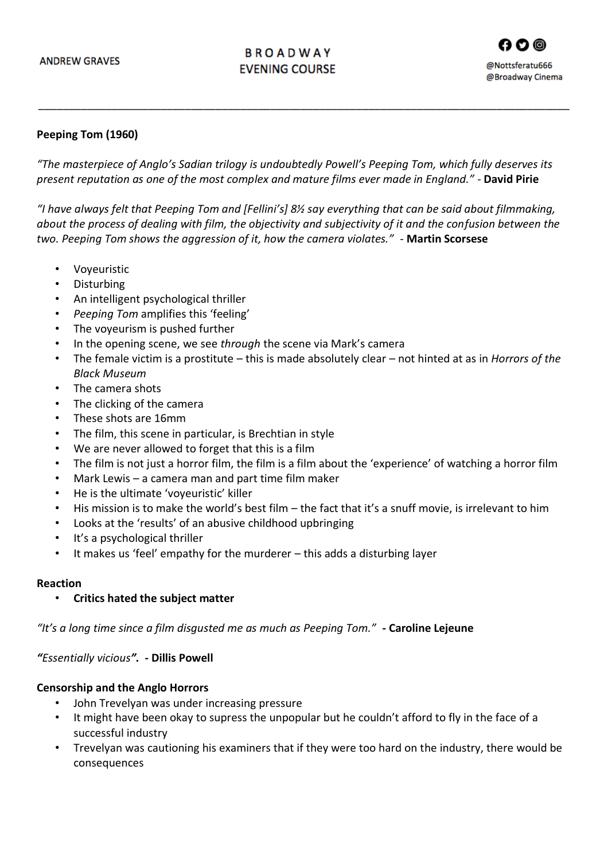# **BROADWAY EVENING COURSE**



#### **Peeping Tom (1960)**

*"The masterpiece of Anglo's Sadian trilogy is undoubtedly Powell's Peeping Tom, which fully deserves its present reputation as one of the most complex and mature films ever made in England."* - **David Pirie**

\_\_\_\_\_\_\_\_\_\_\_\_\_\_\_\_\_\_\_\_\_\_\_\_\_\_\_\_\_\_\_\_\_\_\_\_\_\_\_\_\_\_\_\_\_\_\_\_\_\_\_\_\_\_\_\_\_\_\_\_\_\_\_\_\_\_\_\_\_\_\_\_\_\_\_\_\_\_\_\_\_\_\_\_\_\_\_

*"I have always felt that Peeping Tom and [Fellini's] 8½ say everything that can be said about filmmaking, about the process of dealing with film, the objectivity and subjectivity of it and the confusion between the two. Peeping Tom shows the aggression of it, how the camera violates."* - **Martin Scorsese**

- Voyeuristic
- Disturbing
- An intelligent psychological thriller
- *Peeping Tom* amplifies this 'feeling'
- The voyeurism is pushed further
- In the opening scene, we see *through* the scene via Mark's camera
- The female victim is a prostitute this is made absolutely clear not hinted at as in *Horrors of the Black Museum*
- The camera shots
- The clicking of the camera
- These shots are 16mm
- The film, this scene in particular, is Brechtian in style
- We are never allowed to forget that this is a film
- The film is not just a horror film, the film is a film about the 'experience' of watching a horror film
- Mark Lewis a camera man and part time film maker
- He is the ultimate 'voyeuristic' killer
- His mission is to make the world's best film the fact that it's a snuff movie, is irrelevant to him
- Looks at the 'results' of an abusive childhood upbringing
- It's a psychological thriller
- It makes us 'feel' empathy for the murderer this adds a disturbing layer

#### **Reaction**

• **Critics hated the subject matter** 

*"It's a long time since a film disgusted me as much as Peeping Tom."* **- Caroline Lejeune**

*"Essentially vicious".* **- Dillis Powell**

#### **Censorship and the Anglo Horrors**

- John Trevelyan was under increasing pressure
- It might have been okay to supress the unpopular but he couldn't afford to fly in the face of a successful industry
- Trevelyan was cautioning his examiners that if they were too hard on the industry, there would be consequences